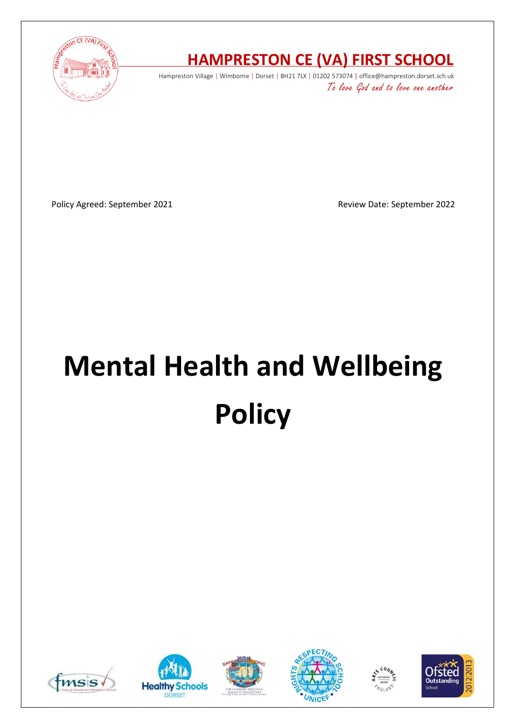

# **HAMPRESTON CE (VA) FIRST SCHOOL**

Hampreston Village | Wimborne | Dorset | BH21 7LX | 01202 573074 | office@hampreston.dorset.sch.uk To love God and to love one another

Policy Agreed: September 2021 and a september 2022

# **Mental Health and Wellbeing Policy**











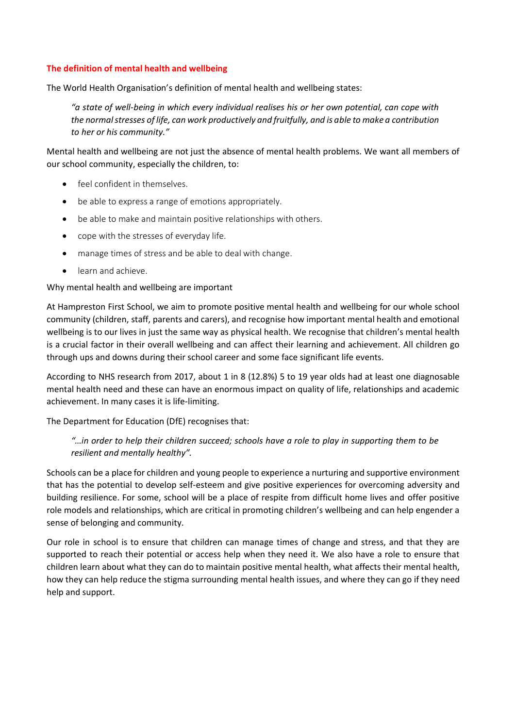## **The definition of mental health and wellbeing**

The World Health Organisation's definition of mental health and wellbeing states:

*"a state of well-being in which every individual realises his or her own potential, can cope with the normal stresses of life, can work productively and fruitfully, and is able to make a contribution to her or his community."* 

Mental health and wellbeing are not just the absence of mental health problems. We want all members of our school community, especially the children, to:

- feel confident in themselves.
- be able to express a range of emotions appropriately.
- be able to make and maintain positive relationships with others.
- cope with the stresses of everyday life.
- manage times of stress and be able to deal with change.
- learn and achieve.

#### Why mental health and wellbeing are important

At Hampreston First School, we aim to promote positive mental health and wellbeing for our whole school community (children, staff, parents and carers), and recognise how important mental health and emotional wellbeing is to our lives in just the same way as physical health. We recognise that children's mental health is a crucial factor in their overall wellbeing and can affect their learning and achievement. All children go through ups and downs during their school career and some face significant life events.

According to NHS research from 2017, about 1 in 8 (12.8%) 5 to 19 year olds had at least one diagnosable mental health need and these can have an enormous impact on quality of life, relationships and academic achievement. In many cases it is life-limiting.

The Department for Education (DfE) recognises that:

# *"…in order to help their children succeed; schools have a role to play in supporting them to be resilient and mentally healthy".*

Schools can be a place for children and young people to experience a nurturing and supportive environment that has the potential to develop self-esteem and give positive experiences for overcoming adversity and building resilience. For some, school will be a place of respite from difficult home lives and offer positive role models and relationships, which are critical in promoting children's wellbeing and can help engender a sense of belonging and community.

Our role in school is to ensure that children can manage times of change and stress, and that they are supported to reach their potential or access help when they need it. We also have a role to ensure that children learn about what they can do to maintain positive mental health, what affects their mental health, how they can help reduce the stigma surrounding mental health issues, and where they can go if they need help and support.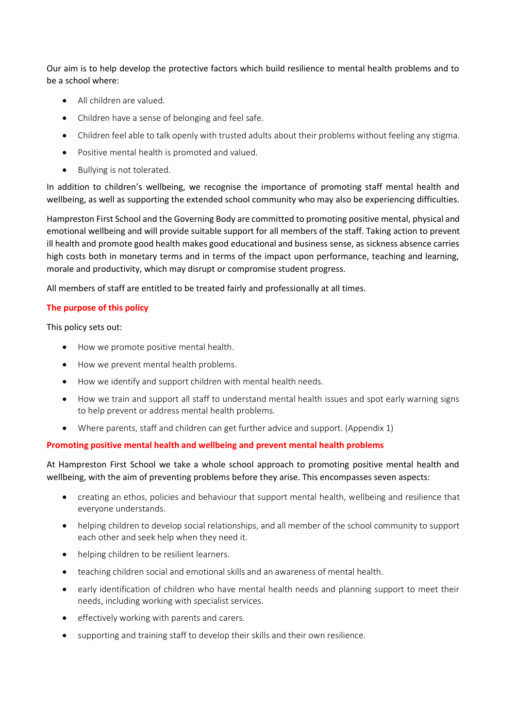Our aim is to help develop the protective factors which build resilience to mental health problems and to be a school where:

- All children are valued.
- Children have a sense of belonging and feel safe.
- Children feel able to talk openly with trusted adults about their problems without feeling any stigma.
- Positive mental health is promoted and valued.
- Bullying is not tolerated.

In addition to children's wellbeing, we recognise the importance of promoting staff mental health and wellbeing, as well as supporting the extended school community who may also be experiencing difficulties.

Hampreston First School and the Governing Body are committed to promoting positive mental, physical and emotional wellbeing and will provide suitable support for all members of the staff. Taking action to prevent ill health and promote good health makes good educational and business sense, as sickness absence carries high costs both in monetary terms and in terms of the impact upon performance, teaching and learning, morale and productivity, which may disrupt or compromise student progress.

All members of staff are entitled to be treated fairly and professionally at all times.

# **The purpose of this policy**

This policy sets out:

- How we promote positive mental health.
- How we prevent mental health problems.
- How we identify and support children with mental health needs.
- How we train and support all staff to understand mental health issues and spot early warning signs to help prevent or address mental health problems.
- Where parents, staff and children can get further advice and support. (Appendix 1)

# **Promoting positive mental health and wellbeing and prevent mental health problems**

At Hampreston First School we take a whole school approach to promoting positive mental health and wellbeing, with the aim of preventing problems before they arise. This encompasses seven aspects:

- creating an ethos, policies and behaviour that support mental health, wellbeing and resilience that everyone understands.
- helping children to develop social relationships, and all member of the school community to support each other and seek help when they need it.
- helping children to be resilient learners.
- teaching children social and emotional skills and an awareness of mental health.
- early identification of children who have mental health needs and planning support to meet their needs, including working with specialist services.
- effectively working with parents and carers.
- supporting and training staff to develop their skills and their own resilience.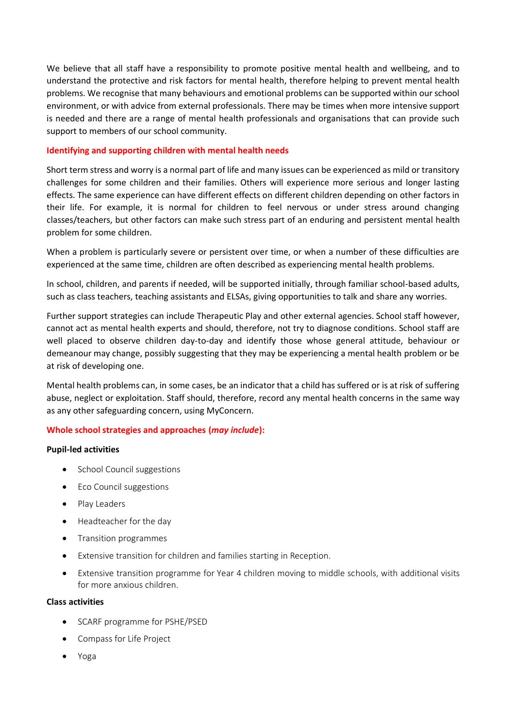We believe that all staff have a responsibility to promote positive mental health and wellbeing, and to understand the protective and risk factors for mental health, therefore helping to prevent mental health problems. We recognise that many behaviours and emotional problems can be supported within our school environment, or with advice from external professionals. There may be times when more intensive support is needed and there are a range of mental health professionals and organisations that can provide such support to members of our school community.

#### **Identifying and supporting children with mental health needs**

Short term stress and worry is a normal part of life and many issues can be experienced as mild or transitory challenges for some children and their families. Others will experience more serious and longer lasting effects. The same experience can have different effects on different children depending on other factors in their life. For example, it is normal for children to feel nervous or under stress around changing classes/teachers, but other factors can make such stress part of an enduring and persistent mental health problem for some children.

When a problem is particularly severe or persistent over time, or when a number of these difficulties are experienced at the same time, children are often described as experiencing mental health problems.

In school, children, and parents if needed, will be supported initially, through familiar school-based adults, such as class teachers, teaching assistants and ELSAs, giving opportunities to talk and share any worries.

Further support strategies can include Therapeutic Play and other external agencies. School staff however, cannot act as mental health experts and should, therefore, not try to diagnose conditions. School staff are well placed to observe children day-to-day and identify those whose general attitude, behaviour or demeanour may change, possibly suggesting that they may be experiencing a mental health problem or be at risk of developing one.

Mental health problems can, in some cases, be an indicator that a child has suffered or is at risk of suffering abuse, neglect or exploitation. Staff should, therefore, record any mental health concerns in the same way as any other safeguarding concern, using MyConcern.

# **Whole school strategies and approaches (***may include***):**

#### **Pupil-led activities**

- School Council suggestions
- Eco Council suggestions
- Play Leaders
- Headteacher for the day
- Transition programmes
- Extensive transition for children and families starting in Reception.
- Extensive transition programme for Year 4 children moving to middle schools, with additional visits for more anxious children.

#### **Class activities**

- SCARF programme for PSHE/PSED
- Compass for Life Project
- Yoga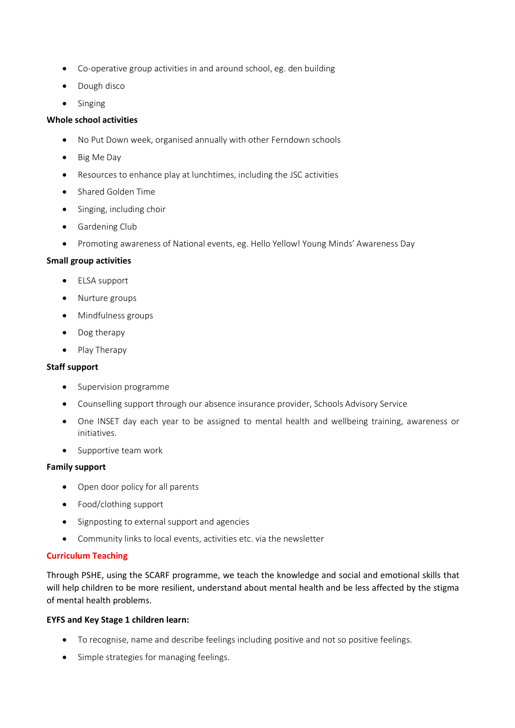- Co-operative group activities in and around school, eg. den building
- Dough disco
- Singing

# **Whole school activities**

- No Put Down week, organised annually with other Ferndown schools
- Big Me Day
- Resources to enhance play at lunchtimes, including the JSC activities
- Shared Golden Time
- Singing, including choir
- Gardening Club
- Promoting awareness of National events, eg. Hello Yellow! Young Minds' Awareness Day

## **Small group activities**

- ELSA support
- Nurture groups
- Mindfulness groups
- Dog therapy
- Play Therapy

#### **Staff support**

- Supervision programme
- Counselling support through our absence insurance provider, Schools Advisory Service
- One INSET day each year to be assigned to mental health and wellbeing training, awareness or initiatives.
- Supportive team work

#### **Family support**

- Open door policy for all parents
- Food/clothing support
- Signposting to external support and agencies
- Community links to local events, activities etc. via the newsletter

#### **Curriculum Teaching**

Through PSHE, using the SCARF programme, we teach the knowledge and social and emotional skills that will help children to be more resilient, understand about mental health and be less affected by the stigma of mental health problems.

#### **EYFS and Key Stage 1 children learn:**

- To recognise, name and describe feelings including positive and not so positive feelings.
- Simple strategies for managing feelings.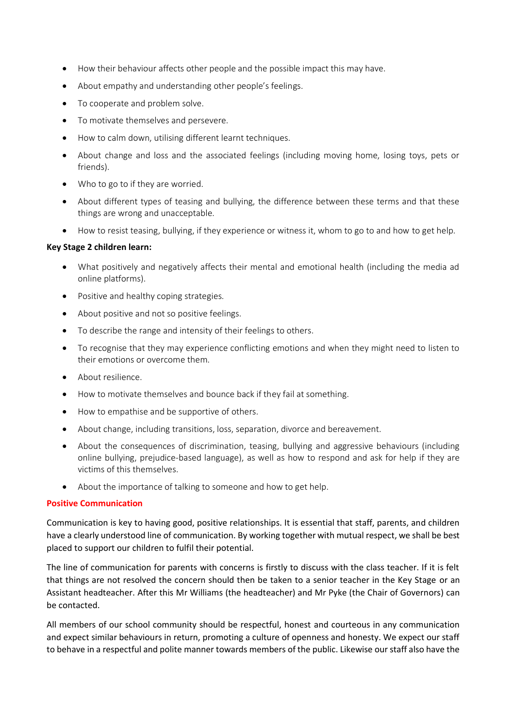- How their behaviour affects other people and the possible impact this may have.
- About empathy and understanding other people's feelings.
- To cooperate and problem solve.
- To motivate themselves and persevere.
- How to calm down, utilising different learnt techniques.
- About change and loss and the associated feelings (including moving home, losing toys, pets or friends).
- Who to go to if they are worried.
- About different types of teasing and bullying, the difference between these terms and that these things are wrong and unacceptable.
- How to resist teasing, bullying, if they experience or witness it, whom to go to and how to get help.

#### **Key Stage 2 children learn:**

- What positively and negatively affects their mental and emotional health (including the media ad online platforms).
- Positive and healthy coping strategies.
- About positive and not so positive feelings.
- To describe the range and intensity of their feelings to others.
- To recognise that they may experience conflicting emotions and when they might need to listen to their emotions or overcome them.
- About resilience.
- How to motivate themselves and bounce back if they fail at something.
- How to empathise and be supportive of others.
- About change, including transitions, loss, separation, divorce and bereavement.
- About the consequences of discrimination, teasing, bullying and aggressive behaviours (including online bullying, prejudice-based language), as well as how to respond and ask for help if they are victims of this themselves.
- About the importance of talking to someone and how to get help.

#### **Positive Communication**

Communication is key to having good, positive relationships. It is essential that staff, parents, and children have a clearly understood line of communication. By working together with mutual respect, we shall be best placed to support our children to fulfil their potential.

The line of communication for parents with concerns is firstly to discuss with the class teacher. If it is felt that things are not resolved the concern should then be taken to a senior teacher in the Key Stage or an Assistant headteacher. After this Mr Williams (the headteacher) and Mr Pyke (the Chair of Governors) can be contacted.

All members of our school community should be respectful, honest and courteous in any communication and expect similar behaviours in return, promoting a culture of openness and honesty. We expect our staff to behave in a respectful and polite manner towards members of the public. Likewise our staff also have the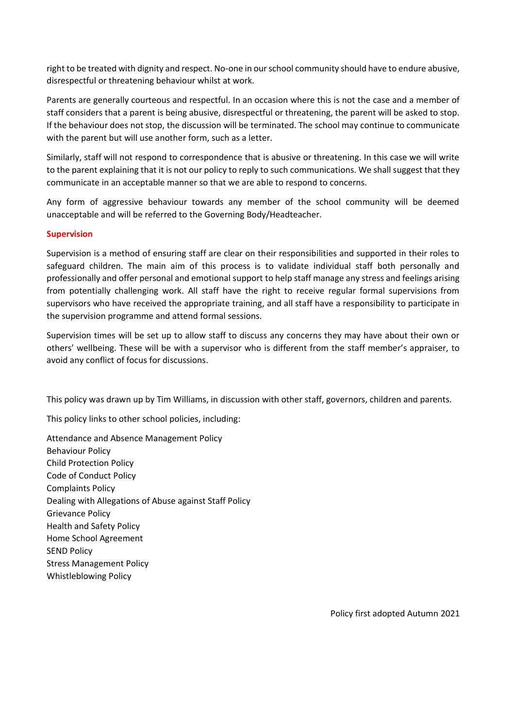right to be treated with dignity and respect. No-one in our school community should have to endure abusive, disrespectful or threatening behaviour whilst at work.

Parents are generally courteous and respectful. In an occasion where this is not the case and a member of staff considers that a parent is being abusive, disrespectful or threatening, the parent will be asked to stop. If the behaviour does not stop, the discussion will be terminated. The school may continue to communicate with the parent but will use another form, such as a letter.

Similarly, staff will not respond to correspondence that is abusive or threatening. In this case we will write to the parent explaining that it is not our policy to reply to such communications. We shall suggest that they communicate in an acceptable manner so that we are able to respond to concerns.

Any form of aggressive behaviour towards any member of the school community will be deemed unacceptable and will be referred to the Governing Body/Headteacher.

#### **Supervision**

Supervision is a method of ensuring staff are clear on their responsibilities and supported in their roles to safeguard children. The main aim of this process is to validate individual staff both personally and professionally and offer personal and emotional support to help staff manage any stress and feelings arising from potentially challenging work. All staff have the right to receive regular formal supervisions from supervisors who have received the appropriate training, and all staff have a responsibility to participate in the supervision programme and attend formal sessions.

Supervision times will be set up to allow staff to discuss any concerns they may have about their own or others' wellbeing. These will be with a supervisor who is different from the staff member's appraiser, to avoid any conflict of focus for discussions.

This policy was drawn up by Tim Williams, in discussion with other staff, governors, children and parents.

This policy links to other school policies, including:

Attendance and Absence Management Policy Behaviour Policy Child Protection Policy Code of Conduct Policy Complaints Policy Dealing with Allegations of Abuse against Staff Policy Grievance Policy Health and Safety Policy Home School Agreement SEND Policy Stress Management Policy Whistleblowing Policy

Policy first adopted Autumn 2021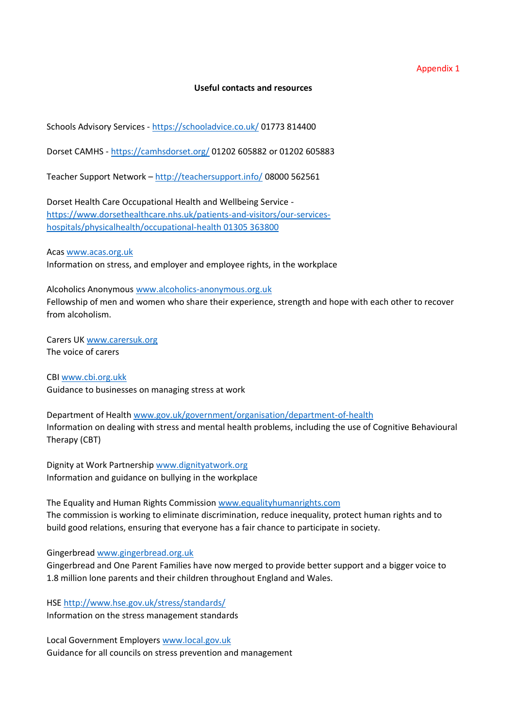Appendix 1

#### **Useful contacts and resources**

Schools Advisory Services - <https://schooladvice.co.uk/> 01773 814400

Dorset CAMHS - <https://camhsdorset.org/> 01202 605882 or 01202 605883

Teacher Support Network – <http://teachersupport.info/> 08000 562561

Dorset Health Care Occupational Health and Wellbeing Service [https://www.dorsethealthcare.nhs.uk/patients-and-visitors/our-services](https://www.dorsethealthcare.nhs.uk/patients-and-visitors/our-services-hospitals/physicalhealth/occupational-health%2001305%20363800)[hospitals/physicalhealth/occupational-health](https://www.dorsethealthcare.nhs.uk/patients-and-visitors/our-services-hospitals/physicalhealth/occupational-health%2001305%20363800) 01305 363800

Acas [www.acas.org.uk](http://www.acas.org.uk/) Information on stress, and employer and employee rights, in the workplace

Alcoholics Anonymous [www.alcoholics-anonymous.org.uk](http://www.alcoholics-anonymous.org.uk/) Fellowship of men and women who share their experience, strength and hope with each other to recover from alcoholism.

Carers UK [www.carersuk.org](http://www.carersuk.org/) The voice of carers

CBI [www.cbi.org.ukk](http://www.cbi.org.ukk/) Guidance to businesses on managing stress at work

Department of Healt[h www.gov.uk/government/organisation/department-of-health](http://www.gov.uk/government/organisation/department-of-health) Information on dealing with stress and mental health problems, including the use of Cognitive Behavioural Therapy (CBT)

Dignity at Work Partnership [www.dignityatwork.org](http://www.dignityatwork.org/) Information and guidance on bullying in the workplace

The Equality and Human Rights Commission [www.equalityhumanrights.com](http://www.equalityhumanrights.com/) The commission is working to eliminate discrimination, reduce inequality, protect human rights and to build good relations, ensuring that everyone has a fair chance to participate in society.

Gingerbread [www.gingerbread.org.uk](http://www.gingerbread.org.uk/)

Gingerbread and One Parent Families have now merged to provide better support and a bigger voice to 1.8 million lone parents and their children throughout England and Wales.

HSE<http://www.hse.gov.uk/stress/standards/>

Information on the stress management standards

Local Government Employer[s www.local.gov.uk](http://www.local.gov.uk/) Guidance for all councils on stress prevention and management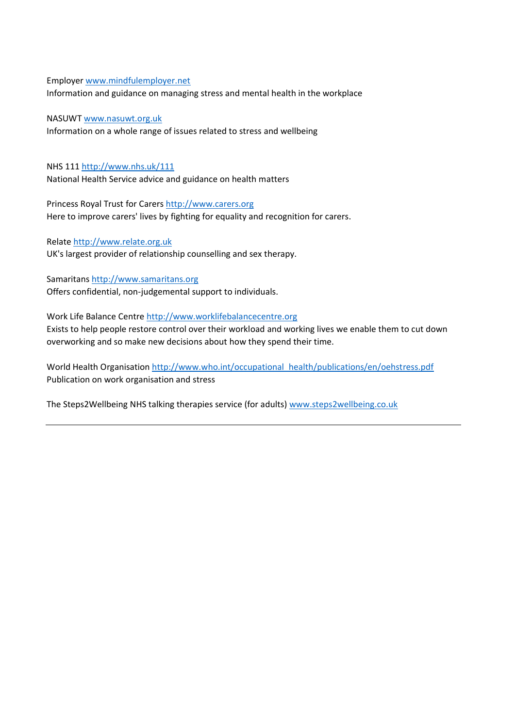Employer [www.mindfulemployer.net](http://www.mindfulemployer.net/)

Information and guidance on managing stress and mental health in the workplace

NASUWT [www.nasuwt.org.uk](http://www.nasuwt.org.uk/) Information on a whole range of issues related to stress and wellbeing

NHS 11[1 http://www.nhs.uk/111](http://www.nhs.uk/111) National Health Service advice and guidance on health matters

Princess Royal Trust for Carers [http://www.carers.org](http://www.carers.org/) Here to improve carers' lives by fighting for equality and recognition for carers.

Relate [http://www.relate.org.uk](http://www.relate.org.uk/) UK's largest provider of relationship counselling and sex therapy.

Samaritans [http://www.samaritans.org](http://www.samaritans.org/) Offers confidential, non-judgemental support to individuals.

Work Life Balance Centre [http://www.worklifebalancecentre.org](http://www.worklifebalancecentre.org/) Exists to help people restore control over their workload and working lives we enable them to cut down

overworking and so make new decisions about how they spend their time.

World Health Organisation [http://www.who.int/occupational\\_health/publications/en/oehstress.pdf](http://www.who.int/occupational_health/publications/en/oehstress.pdf) Publication on work organisation and stress

The Steps2Wellbeing NHS talking therapies service (for adults) [www.steps2wellbeing.co.uk](http://www.steps2wellbeing.co.uk/)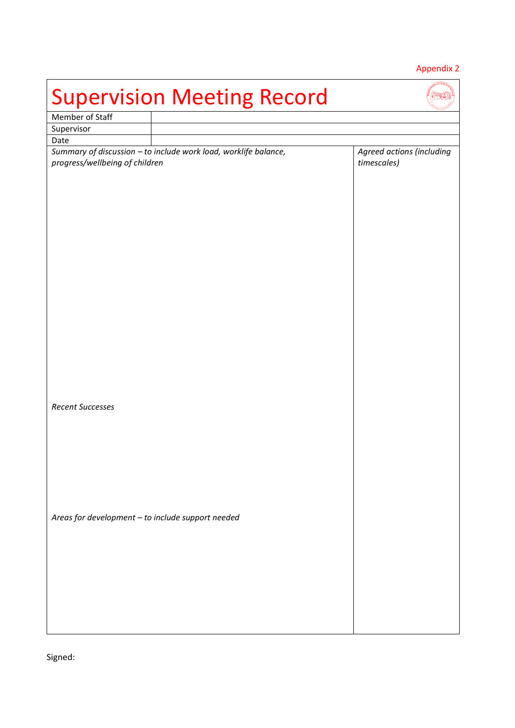# Appendix 2

| <b>Supervision Meeting Record</b>                 |                                                                 |                                          |  |  |  |  |
|---------------------------------------------------|-----------------------------------------------------------------|------------------------------------------|--|--|--|--|
| Member of Staff                                   |                                                                 |                                          |  |  |  |  |
| Supervisor                                        |                                                                 |                                          |  |  |  |  |
| Date                                              |                                                                 |                                          |  |  |  |  |
| progress/wellbeing of children                    | Summary of discussion - to include work load, worklife balance, | Agreed actions (including<br>timescales) |  |  |  |  |
| Recent Successes                                  |                                                                 |                                          |  |  |  |  |
| Areas for development - to include support needed |                                                                 |                                          |  |  |  |  |

Signed: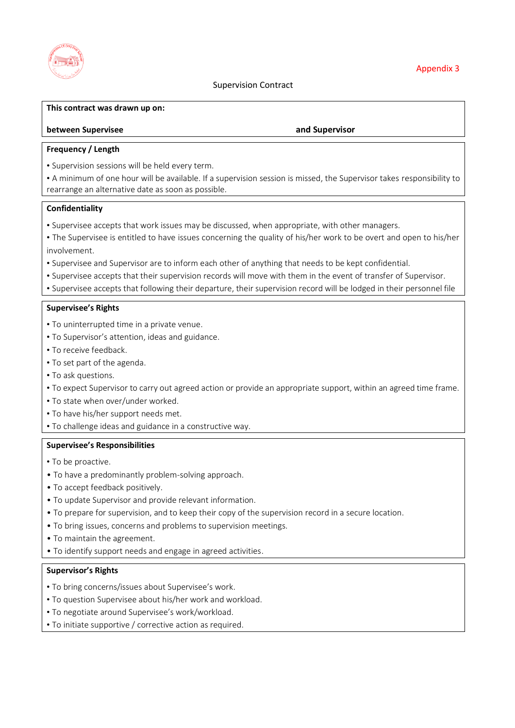

#### **This contract was drawn up on:**

#### **between Supervisee and Supervisor**

#### **Frequency / Length**

• Supervision sessions will be held every term.

• A minimum of one hour will be available. If a supervision session is missed, the Supervisor takes responsibility to rearrange an alternative date as soon as possible.

#### **Confidentiality**

- Supervisee accepts that work issues may be discussed, when appropriate, with other managers.
- The Supervisee is entitled to have issues concerning the quality of his/her work to be overt and open to his/her involvement.
- Supervisee and Supervisor are to inform each other of anything that needs to be kept confidential.
- Supervisee accepts that their supervision records will move with them in the event of transfer of Supervisor.
- Supervisee accepts that following their departure, their supervision record will be lodged in their personnel file

#### **Supervisee's Rights**

- To uninterrupted time in a private venue.
- To Supervisor's attention, ideas and guidance.
- To receive feedback.
- To set part of the agenda.
- To ask questions.
- To expect Supervisor to carry out agreed action or provide an appropriate support, within an agreed time frame.
- To state when over/under worked.
- To have his/her support needs met.
- To challenge ideas and guidance in a constructive way.

#### **Supervisee's Responsibilities**

- To be proactive.
- To have a predominantly problem-solving approach.
- To accept feedback positively.
- To update Supervisor and provide relevant information.
- To prepare for supervision, and to keep their copy of the supervision record in a secure location.
- To bring issues, concerns and problems to supervision meetings.
- To maintain the agreement.
- To identify support needs and engage in agreed activities.

#### **Supervisor's Rights**

- To bring concerns/issues about Supervisee's work.
- To question Supervisee about his/her work and workload.
- To negotiate around Supervisee's work/workload.
- To initiate supportive / corrective action as required.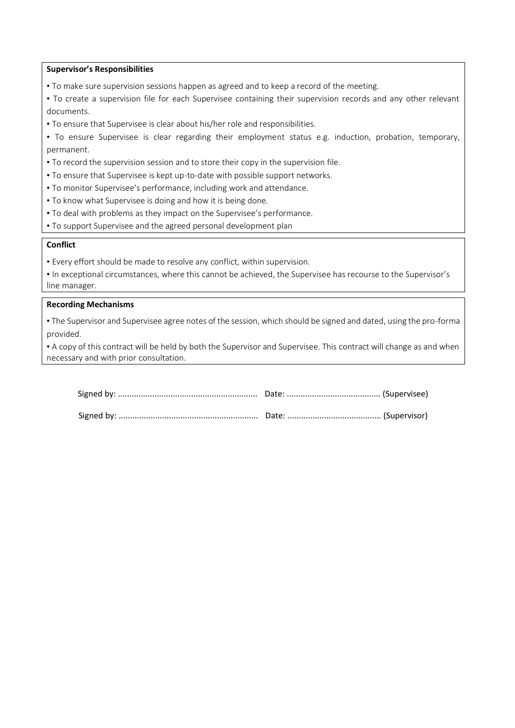#### **Supervisor's Responsibilities**

- To make sure supervision sessions happen as agreed and to keep a record of the meeting.
- To create a supervision file for each Supervisee containing their supervision records and any other relevant documents.
- To ensure that Supervisee is clear about his/her role and responsibilities.
- To ensure Supervisee is clear regarding their employment status e.g. induction, probation, temporary, permanent.
- To record the supervision session and to store their copy in the supervision file.
- To ensure that Supervisee is kept up-to-date with possible support networks.
- To monitor Supervisee's performance, including work and attendance.
- To know what Supervisee is doing and how it is being done.
- To deal with problems as they impact on the Supervisee's performance.
- To support Supervisee and the agreed personal development plan

#### **Conflict**

• Every effort should be made to resolve any conflict, within supervision.

|               | • In exceptional circumstances, where this cannot be achieved, the Supervisee has recourse to the Supervisor's |  |  |
|---------------|----------------------------------------------------------------------------------------------------------------|--|--|
| line manager. |                                                                                                                |  |  |

#### **Recording Mechanisms**

• The Supervisor and Supervisee agree notes of the session, which should be signed and dated, using the pro-forma provided.

• A copy of this contract will be held by both the Supervisor and Supervisee. This contract will change as and when necessary and with prior consultation.